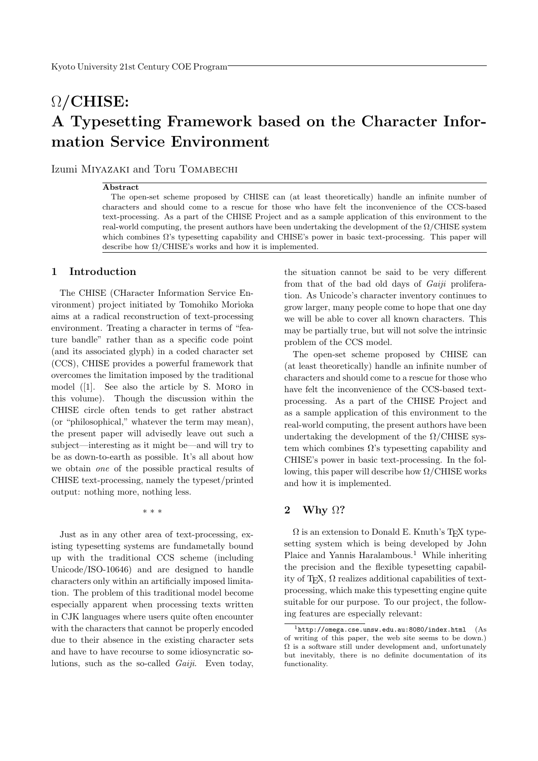# $\Omega$ /CHISE: A Typesetting Framework based on the Character Information Service Environment

Izumi Miyazaki and Toru Tomabechi

#### Abstract

The open-set scheme proposed by CHISE can (at least theoretically) handle an infinite number of characters and should come to a rescue for those who have felt the inconvenience of the CCS-based text-processing. As a part of the CHISE Project and as a sample application of this environment to the real-world computing, the present authors have been undertaking the development of the  $\Omega$ /CHISE system which combines Ω's typesetting capability and CHISE's power in basic text-processing. This paper will describe how  $\Omega$ /CHISE's works and how it is implemented.

# 1 Introduction

The CHISE (CHaracter Information Service Environment) project initiated by Tomohiko Morioka aims at a radical reconstruction of text-processing environment. Treating a character in terms of "feature bandle" rather than as a specific code point (and its associated glyph) in a coded character set (CCS), CHISE provides a powerful framework that overcomes the limitation imposed by the traditional model ([1]. See also the article by S. Moro in this volume). Though the discussion within the CHISE circle often tends to get rather abstract (or "philosophical," whatever the term may mean), the present paper will advisedly leave out such a subject—interesting as it might be—and will try to be as down-to-earth as possible. It's all about how we obtain one of the possible practical results of CHISE text-processing, namely the typeset/printed output: nothing more, nothing less.

\* \* \*

Just as in any other area of text-processing, existing typesetting systems are fundametally bound up with the traditional CCS scheme (including Unicode/ISO-10646) and are designed to handle characters only within an artificially imposed limitation. The problem of this traditional model become especially apparent when processing texts written in CJK languages where users quite often encounter with the characters that cannot be properly encoded due to their absence in the existing character sets and have to have recourse to some idiosyncratic solutions, such as the so-called Gaiji. Even today,

the situation cannot be said to be very different from that of the bad old days of *Gaiji* proliferation. As Unicode's character inventory continues to grow larger, many people come to hope that one day we will be able to cover all known characters. This may be partially true, but will not solve the intrinsic problem of the CCS model.

The open-set scheme proposed by CHISE can (at least theoretically) handle an infinite number of characters and should come to a rescue for those who have felt the inconvenience of the CCS-based textprocessing. As a part of the CHISE Project and as a sample application of this environment to the real-world computing, the present authors have been undertaking the development of the  $\Omega$ /CHISE system which combines  $\Omega$ 's typesetting capability and CHISE's power in basic text-processing. In the following, this paper will describe how  $\Omega$ /CHISE works and how it is implemented.

## 2 Why  $\Omega$ ?

 $\Omega$  is an extension to Donald E. Knuth's T<sub>E</sub>X typesetting system which is being developed by John Plaice and Yannis Haralambous.<sup>1</sup> While inheriting the precision and the flexible typesetting capability of T<sub>E</sub>X,  $\Omega$  realizes additional capabilities of textprocessing, which make this typesetting engine quite suitable for our purpose. To our project, the following features are especially relevant:

 $1$ http://omega.cse.unsw.edu.au:8080/index.html (As of writing of this paper, the web site seems to be down.)  $\Omega$  is a software still under development and, unfortunately but inevitably, there is no definite documentation of its functionality.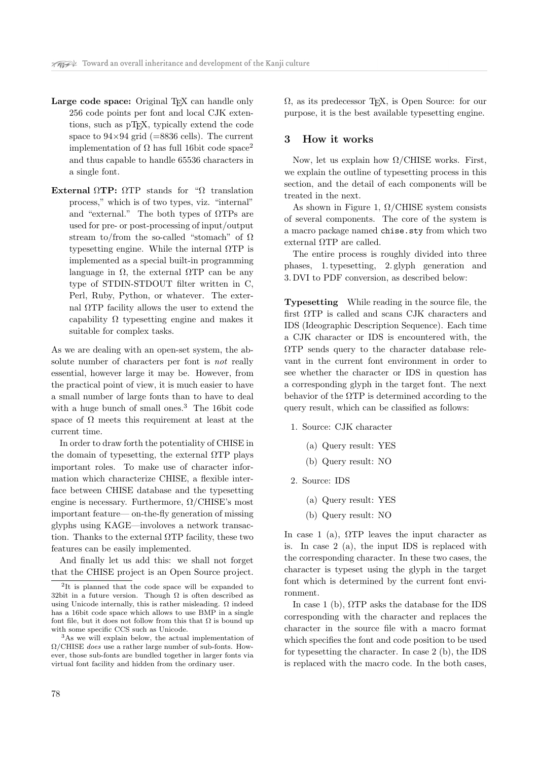- Large code space: Original T<sub>EX</sub> can handle only 256 code points per font and local CJK extentions, such as pTEX, typically extend the code space to  $94\times94$  grid (=8836 cells). The current implementation of Ω has full 16bit code space<sup>2</sup> and thus capable to handle 65536 characters in a single font.
- External  $\Omega$ TP:  $\Omega$ TP stands for " $\Omega$  translation process," which is of two types, viz. "internal" and "external." The both types of  $\Omega$ TPs are used for pre- or post-processing of input/output stream to/from the so-called "stomach" of  $\Omega$ typesetting engine. While the internal  $\Omega \text{TP}$  is implemented as a special built-in programming language in  $Ω$ , the external  $ΩTP$  can be any type of STDIN-STDOUT filter written in C, Perl, Ruby, Python, or whatever. The external ΩTP facility allows the user to extend the capability  $\Omega$  typesetting engine and makes it suitable for complex tasks.

As we are dealing with an open-set system, the absolute number of characters per font is not really essential, however large it may be. However, from the practical point of view, it is much easier to have a small number of large fonts than to have to deal with a huge bunch of small ones.<sup>3</sup> The 16bit code space of  $\Omega$  meets this requirement at least at the current time.

In order to draw forth the potentiality of CHISE in the domain of typesetting, the external  $\Omega$ TP plays important roles. To make use of character information which characterize CHISE, a flexible interface between CHISE database and the typesetting engine is necessary. Furthermore,  $\Omega$ /CHISE's most important feature— on-the-fly generation of missing glyphs using KAGE—involoves a network transaction. Thanks to the external  $\Omega$ TP facility, these two features can be easily implemented.

And finally let us add this: we shall not forget that the CHISE project is an Open Source project.  $\Omega$ , as its predecessor T<sub>E</sub>X, is Open Source: for our purpose, it is the best available typesetting engine.

## 3 How it works

Now, let us explain how  $\Omega$ /CHISE works. First, we explain the outline of typesetting process in this section, and the detail of each components will be treated in the next.

As shown in Figure 1,  $\Omega$ /CHISE system consists of several components. The core of the system is a macro package named chise.sty from which two external ΩTP are called.

The entire process is roughly divided into three phases, 1. typesetting, 2. glyph generation and 3. DVI to PDF conversion, as described below:

Typesetting While reading in the source file, the first ΩTP is called and scans CJK characters and IDS (Ideographic Description Sequence). Each time a CJK character or IDS is encountered with, the ΩTP sends query to the character database relevant in the current font environment in order to see whether the character or IDS in question has a corresponding glyph in the target font. The next behavior of the  $\Omega$ TP is determined according to the query result, which can be classified as follows:

1. Source: CJK character

- (a) Query result: YES
- (b) Query result: NO

2. Source: IDS

- (a) Query result: YES
- (b) Query result: NO

In case 1 (a),  $\Omega \text{TP}$  leaves the input character as is. In case 2 (a), the input IDS is replaced with the corresponding character. In these two cases, the character is typeset using the glyph in the target font which is determined by the current font environment.

In case 1 (b),  $\Omega$ TP asks the database for the IDS corresponding with the character and replaces the character in the source file with a macro format which specifies the font and code position to be used for typesetting the character. In case 2 (b), the IDS is replaced with the macro code. In the both cases,

<sup>2</sup> It is planned that the code space will be expanded to 32bit in a future version. Though  $\Omega$  is often described as using Unicode internally, this is rather misleading.  $\Omega$  indeed has a 16bit code space which allows to use BMP in a single font file, but it does not follow from this that  $\Omega$  is bound up with some specific CCS such as Unicode.

<sup>3</sup>As we will explain below, the actual implementation of Ω/CHISE does use a rather large number of sub-fonts. However, those sub-fonts are bundled together in larger fonts via virtual font facility and hidden from the ordinary user.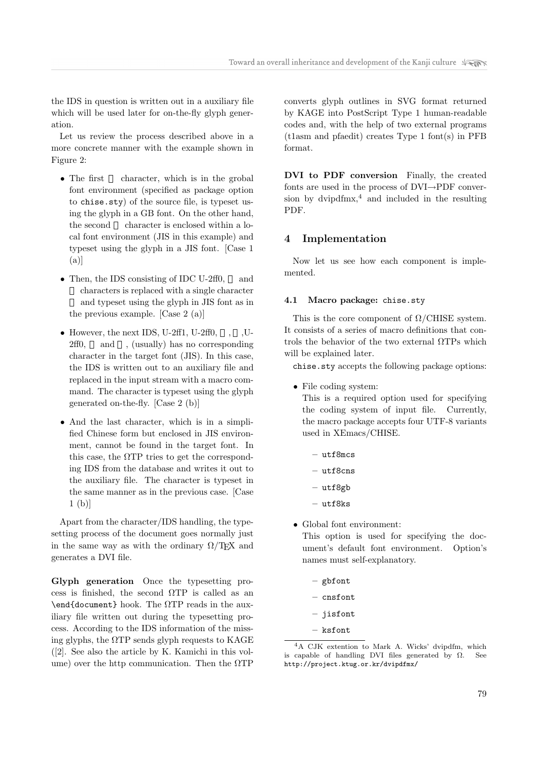the IDS in question is written out in a auxiliary file which will be used later for on-the-fly glyph generation.

Let us review the process described above in a more concrete manner with the example shown in Figure 2:

- The first character, which is in the grobal font environment (specified as package option to chise.sty) of the source file, is typeset using the glyph in a GB font. On the other hand, the second character is enclosed within a local font environment (JIS in this example) and typeset using the glyph in a JIS font. [Case 1 (a)]
- Then, the IDS consisting of IDC U-2ff0, and characters is replaced with a single character and typeset using the glyph in JIS font as in the previous example. [Case 2 (a)]
- However, the next IDS, U-2ff1, U-2ff0,  $\ldots$  U-2ff0, and , (usually) has no corresponding character in the target font (JIS). In this case, the IDS is written out to an auxiliary file and replaced in the input stream with a macro command. The character is typeset using the glyph generated on-the-fly. [Case 2 (b)]
- And the last character, which is in a simplified Chinese form but enclosed in JIS environment, cannot be found in the target font. In this case, the  $\Omega$ TP tries to get the corresponding IDS from the database and writes it out to the auxiliary file. The character is typeset in the same manner as in the previous case. [Case 1 (b)]

Apart from the character/IDS handling, the typesetting process of the document goes normally just in the same way as with the ordinary  $\Omega/\text{Tr}X$  and generates a DVI file.

Glyph generation Once the typesetting process is finished, the second  $\Omega$ TP is called as an \end{document} hook. The ΩTP reads in the auxiliary file written out during the typesetting process. According to the IDS information of the missing glyphs, the  $\Omega$ TP sends glyph requests to KAGE ([2]. See also the article by K. Kamichi in this volume) over the http communication. Then the  $\Omega$ TP

converts glyph outlines in SVG format returned by KAGE into PostScript Type 1 human-readable codes and, with the help of two external programs (t1asm and pfaedit) creates Type 1 font(s) in PFB format.

DVI to PDF conversion Finally, the created fonts are used in the process of DVI→PDF conversion by dvipd $\text{fmx},^4$  and included in the resulting PDF.

## 4 Implementation

Now let us see how each component is implemented.

#### 4.1 Macro package: chise.sty

This is the core component of  $\Omega$ /CHISE system. It consists of a series of macro definitions that controls the behavior of the two external ΩTPs which will be explained later.

chise.sty accepts the following package options:

• File coding system:

This is a required option used for specifying the coding system of input file. Currently, the macro package accepts four UTF-8 variants used in XEmacs/CHISE.

- utf8mcs
- utf8cns
- utf8gb
- utf8ks
- Global font environment:

This option is used for specifying the document's default font environment. Option's names must self-explanatory.

- gbfont
- cnsfont
- jisfont
- ksfont

<sup>4</sup>A CJK extention to Mark A. Wicks' dvipdfm, which is capable of handling DVI files generated by  $\Omega$ . See http://project.ktug.or.kr/dvipdfmx/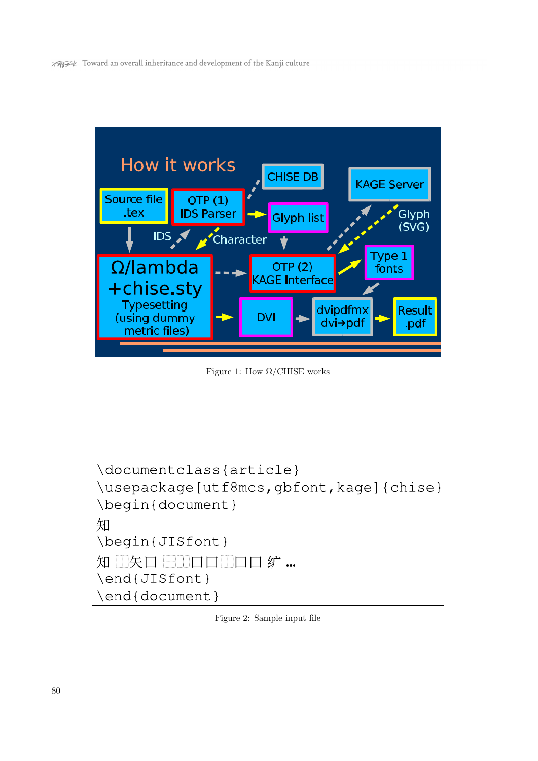

Figure 1: How  $\Omega$ /CHISE works

| \documentclass{article}<br>\usepackage[utf8mcs,gbfont,kage]{chise}<br>\begin{document} |
|----------------------------------------------------------------------------------------|
| 知<br>\begin{JISfont}                                                                   |
| \end{JISfont}<br>\end{document}                                                        |

Figure 2: Sample input file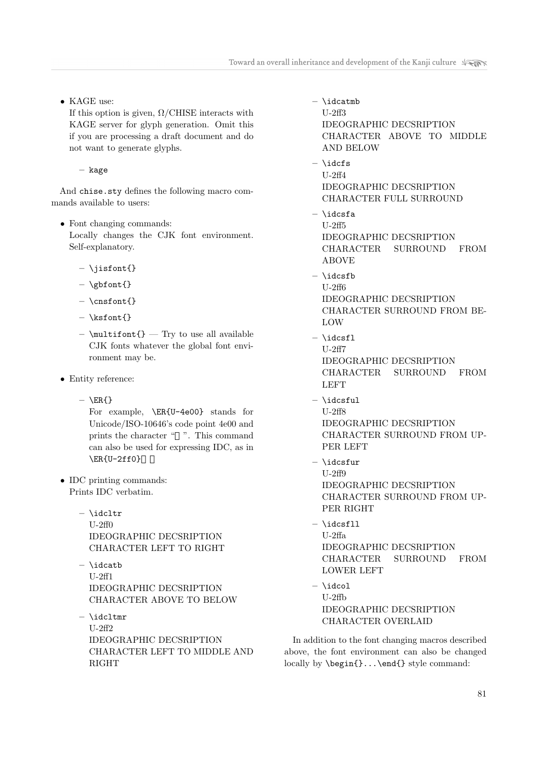• KAGE use:

If this option is given,  $\Omega$ /CHISE interacts with KAGE server for glyph generation. Omit this if you are processing a draft document and do not want to generate glyphs.

– kage

And chise.sty defines the following macro commands available to users:

- Font changing commands: Locally changes the CJK font environment. Self-explanatory.
	- \jisfont{}
	- $-$  \gbfont{}
	- \cnsfont{}
	- $-$  \ksfont{}
	- $-$  \multifont{} Try to use all available CJK fonts whatever the global font environment may be.
- Entity reference:
	- $-$  \ER{}

For example, \ER{U-4e00} stands for Unicode/ISO-10646's code point 4e00 and prints the character " ". This command can also be used for expressing IDC, as in  $\E{U-2ff0}$ 

- IDC printing commands: Prints IDC verbatim.
	- $-$  \idcltr U-2ff0 IDEOGRAPHIC DECSRIPTION CHARACTER LEFT TO RIGHT
	- $-$  \idcatb U-2ff1 IDEOGRAPHIC DECSRIPTION CHARACTER ABOVE TO BELOW
	- $-$  \idcltmr U-2ff2 IDEOGRAPHIC DECSRIPTION CHARACTER LEFT TO MIDDLE AND RIGHT
- $-$  \idcatmb U-2ff3 IDEOGRAPHIC DECSRIPTION CHARACTER ABOVE TO MIDDLE AND BELOW
- \idcfs U-2ff4 IDEOGRAPHIC DECSRIPTION CHARACTER FULL SURROUND
- \idcsfa U-2ff5 IDEOGRAPHIC DECSRIPTION CHARACTER SURROUND FROM ABOVE
- \idcsfb U-2ff6 IDEOGRAPHIC DECSRIPTION CHARACTER SURROUND FROM BE-LOW
- \idcsfl U-2ff7 IDEOGRAPHIC DECSRIPTION CHARACTER SURROUND FROM LEFT
- $-$  \idcsful U-2ff8 IDEOGRAPHIC DECSRIPTION CHARACTER SURROUND FROM UP-PER LEFT
- \idcsfur U-2ff9 IDEOGRAPHIC DECSRIPTION CHARACTER SURROUND FROM UP-PER RIGHT
- $-$  \idcsfll U-2ffa IDEOGRAPHIC DECSRIPTION CHARACTER SURROUND FROM LOWER LEFT
- \idcol U-2ffb IDEOGRAPHIC DECSRIPTION CHARACTER OVERLAID

In addition to the font changing macros described above, the font environment can also be changed locally by \begin{}...\end{} style command: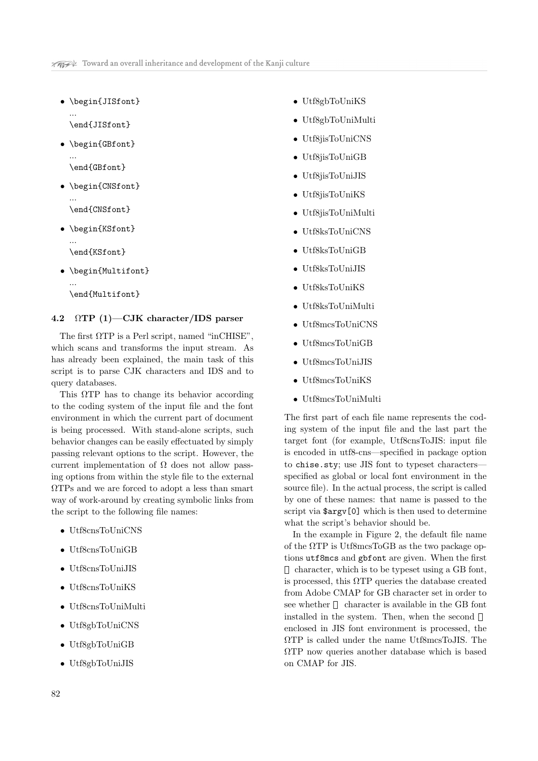• \begin{JISfont} ...

\end{JISfont}

- \begin{GBfont} ... \end{GBfont}
- \begin{CNSfont} ...
	- \end{CNSfont}
- \begin{KSfont} ...

\end{KSfont}

...

• \begin{Multifont}

\end{Multifont}

## 4.2  $\Omega \text{TP}$  (1)—CJK character/IDS parser

The first  $\Omega$ TP is a Perl script, named "inCHISE", which scans and transforms the input stream. As has already been explained, the main task of this script is to parse CJK characters and IDS and to query databases.

This ΩTP has to change its behavior according to the coding system of the input file and the font environment in which the current part of document is being processed. With stand-alone scripts, such behavior changes can be easily effectuated by simply passing relevant options to the script. However, the current implementation of  $\Omega$  does not allow passing options from within the style file to the external ΩTPs and we are forced to adopt a less than smart way of work-around by creating symbolic links from the script to the following file names:

- Utf8cnsToUniCNS
- Utf8cnsToUniGB
- Utf8cnsToUniJIS
- Utf8cnsToUniKS
- Utf8cnsToUniMulti
- Utf8gbToUniCNS
- Utf8gbToUniGB
- Utf8gbToUniJIS
- Utf8gbToUniKS
- Utf8gbToUniMulti
- Utf8jisToUniCNS
- Utf8jisToUniGB
- Utf8jisToUniJIS
- Utf8jisToUniKS
- Utf8jisToUniMulti
- Utf8ksToUniCNS
- Utf8ksToUniGB
- Utf8ksToUniJIS
- Utf8ksToUniKS
- Utf8ksToUniMulti
- Utf8mcsToUniCNS
- Utf8mcsToUniGB
- Utf8mcsToUniJIS
- Utf8mcsToUniKS
- Utf8mcsToUniMulti

The first part of each file name represents the coding system of the input file and the last part the target font (for example, Utf8cnsToJIS: input file is encoded in utf8-cns—specified in package option to chise.sty; use JIS font to typeset characters specified as global or local font environment in the source file). In the actual process, the script is called by one of these names: that name is passed to the script via \$argv[0] which is then used to determine what the script's behavior should be.

In the example in Figure 2, the default file name of the  $\Omega$ TP is Utf8mcsToGB as the two package options utf8mcs and gbfont are given. When the first

character, which is to be typeset using a GB font, is processed, this  $\Omega$ TP queries the database created from Adobe CMAP for GB character set in order to see whether character is available in the GB font installed in the system. Then, when the second enclosed in JIS font environment is processed, the ΩTP is called under the name Utf8mcsToJIS. The ΩTP now queries another database which is based on CMAP for JIS.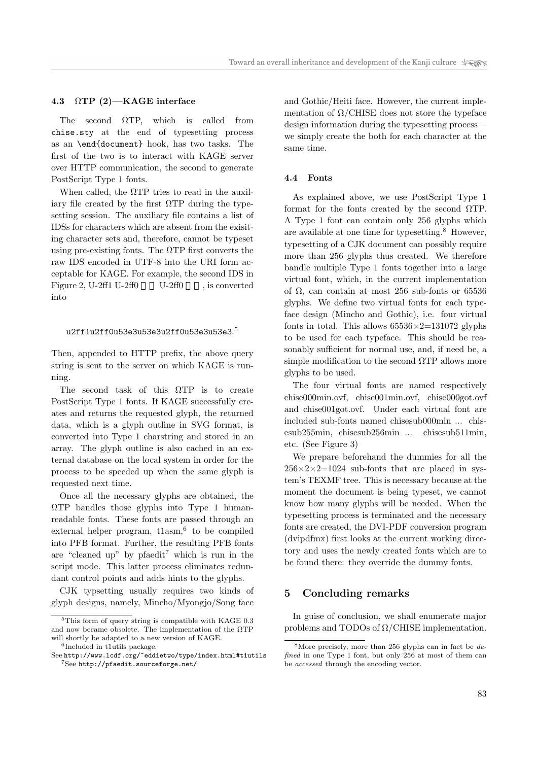#### 4.3 ΩTP (2)—KAGE interface

The second ΩTP, which is called from chise.sty at the end of typesetting process as an \end{document} hook, has two tasks. The first of the two is to interact with KAGE server over HTTP communication, the second to generate PostScript Type 1 fonts.

When called, the  $\Omega$ TP tries to read in the auxiliary file created by the first  $\Omega$ TP during the typesetting session. The auxiliary file contains a list of IDSs for characters which are absent from the exisiting character sets and, therefore, cannot be typeset using pre-existing fonts. The  $\Omega$ TP first converts the raw IDS encoded in UTF-8 into the URI form acceptable for KAGE. For example, the second IDS in Figure 2, U-2ff1 U-2ff0 U-2ff0  $\qquad$ , is converted into

## ${\tt u2ff1u2ff0u53e3u53e3u2ff0u53e3u53e3.}^5$

Then, appended to HTTP prefix, the above query string is sent to the server on which KAGE is running.

The second task of this ΩTP is to create PostScript Type 1 fonts. If KAGE successfully creates and returns the requested glyph, the returned data, which is a glyph outline in SVG format, is converted into Type 1 charstring and stored in an array. The glyph outline is also cached in an external database on the local system in order for the process to be speeded up when the same glyph is requested next time.

Once all the necessary glyphs are obtained, the ΩTP bandles those glyphs into Type 1 humanreadable fonts. These fonts are passed through an external helper program, tlasm,<sup>6</sup> to be compiled into PFB format. Further, the resulting PFB fonts are "cleaned up" by pfaedit" which is run in the script mode. This latter process eliminates redundant control points and adds hints to the glyphs.

CJK typsetting usually requires two kinds of glyph designs, namely, Mincho/Myongjo/Song face and Gothic/Heiti face. However, the current implementation of  $\Omega$ /CHISE does not store the typeface design information during the typesetting process we simply create the both for each character at the same time.

#### 4.4 Fonts

As explained above, we use PostScript Type 1 format for the fonts created by the second ΩTP. A Type 1 font can contain only 256 glyphs which are available at one time for typesetting.<sup>8</sup> However, typesetting of a CJK document can possibly require more than 256 glyphs thus created. We therefore bandle multiple Type 1 fonts together into a large virtual font, which, in the current implementation of  $\Omega$ , can contain at most 256 sub-fonts or 65536 glyphs. We define two virtual fonts for each typeface design (Mincho and Gothic), i.e. four virtual fonts in total. This allows  $65536 \times 2 = 131072$  glyphs to be used for each typeface. This should be reasonably sufficient for normal use, and, if need be, a simple modification to the second  $\Omega$ TP allows more glyphs to be used.

The four virtual fonts are named respectively chise000min.ovf, chise001min.ovf, chise000got.ovf and chise001got.ovf. Under each virtual font are included sub-fonts named chisesub000min ... chisesub255min, chisesub256min ... chisesub511min, etc. (See Figure 3)

We prepare beforehand the dummies for all the  $256 \times 2 \times 2 = 1024$  sub-fonts that are placed in system's TEXMF tree. This is necessary because at the moment the document is being typeset, we cannot know how many glyphs will be needed. When the typesetting process is terminated and the necessary fonts are created, the DVI-PDF conversion program (dvipdfmx) first looks at the current working directory and uses the newly created fonts which are to be found there: they override the dummy fonts.

## 5 Concluding remarks

In guise of conclusion, we shall enumerate major problems and TODOs of  $\Omega$ /CHISE implementation.

<sup>5</sup>This form of query string is compatible with KAGE 0.3 and now became obsolete. The implementation of the  $\Omega$ TP will shortly be adapted to a new version of KAGE.

<sup>6</sup> Included in t1utils package.

See http://www.lcdf.org/~eddietwo/type/index.html#t1utils <sup>7</sup>See http://pfaedit.sourceforge.net/

 $8$ More precisely, more than 256 glyphs can in fact be  $de$ fined in one Type 1 font, but only 256 at most of them can be accessed through the encoding vector.